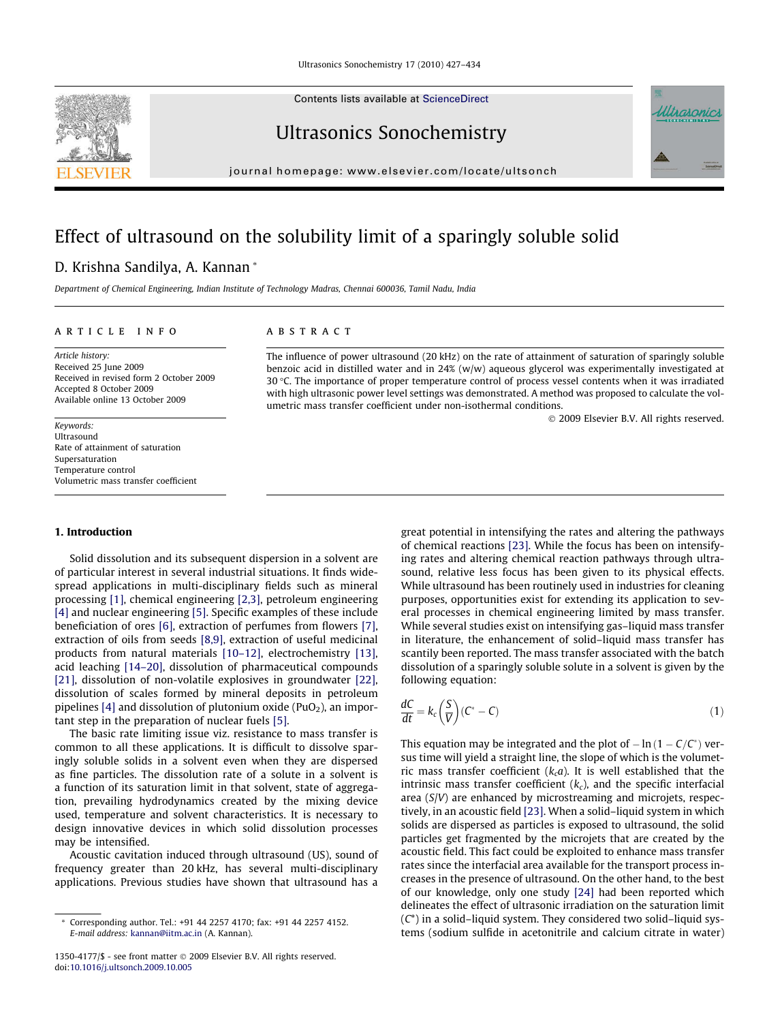Contents lists available at [ScienceDirect](http://www.sciencedirect.com/science/journal/13504177)

# Ultrasonics Sonochemistry

journal homepage: [www.elsevier.com/locate/ultsonch](http://www.elsevier.com/locate/ultsonch)

# Effect of ultrasound on the solubility limit of a sparingly soluble solid

# D. Krishna Sandilya, A. Kannan \*

Department of Chemical Engineering, Indian Institute of Technology Madras, Chennai 600036, Tamil Nadu, India

# article info

Article history: Received 25 June 2009 Received in revised form 2 October 2009 Accepted 8 October 2009 Available online 13 October 2009

Keywords: Ultrasound Rate of attainment of saturation Supersaturation Temperature control Volumetric mass transfer coefficient

# 1. Introduction

Solid dissolution and its subsequent dispersion in a solvent are of particular interest in several industrial situations. It finds widespread applications in multi-disciplinary fields such as mineral processing [\[1\]](#page-6-0), chemical engineering [\[2,3\]](#page-6-0), petroleum engineering [\[4\]](#page-6-0) and nuclear engineering [\[5\]](#page-6-0). Specific examples of these include beneficiation of ores [\[6\]](#page-6-0), extraction of perfumes from flowers [\[7\],](#page-6-0) extraction of oils from seeds [\[8,9\]](#page-7-0), extraction of useful medicinal products from natural materials [\[10–12\],](#page-7-0) electrochemistry [\[13\],](#page-7-0) acid leaching [\[14–20\]](#page-7-0), dissolution of pharmaceutical compounds [\[21\],](#page-7-0) dissolution of non-volatile explosives in groundwater [\[22\],](#page-7-0) dissolution of scales formed by mineral deposits in petroleum pipelines  $[4]$  and dissolution of plutonium oxide (PuO<sub>2</sub>), an important step in the preparation of nuclear fuels [\[5\].](#page-6-0)

The basic rate limiting issue viz. resistance to mass transfer is common to all these applications. It is difficult to dissolve sparingly soluble solids in a solvent even when they are dispersed as fine particles. The dissolution rate of a solute in a solvent is a function of its saturation limit in that solvent, state of aggregation, prevailing hydrodynamics created by the mixing device used, temperature and solvent characteristics. It is necessary to design innovative devices in which solid dissolution processes may be intensified.

Acoustic cavitation induced through ultrasound (US), sound of frequency greater than 20 kHz, has several multi-disciplinary applications. Previous studies have shown that ultrasound has a

# **ABSTRACT**

The influence of power ultrasound (20 kHz) on the rate of attainment of saturation of sparingly soluble benzoic acid in distilled water and in 24% (w/w) aqueous glycerol was experimentally investigated at 30 °C. The importance of proper temperature control of process vessel contents when it was irradiated with high ultrasonic power level settings was demonstrated. A method was proposed to calculate the volumetric mass transfer coefficient under non-isothermal conditions.

2009 Elsevier B.V. All rights reserved.

great potential in intensifying the rates and altering the pathways of chemical reactions [\[23\]](#page-7-0). While the focus has been on intensifying rates and altering chemical reaction pathways through ultrasound, relative less focus has been given to its physical effects. While ultrasound has been routinely used in industries for cleaning purposes, opportunities exist for extending its application to several processes in chemical engineering limited by mass transfer. While several studies exist on intensifying gas–liquid mass transfer in literature, the enhancement of solid–liquid mass transfer has scantily been reported. The mass transfer associated with the batch dissolution of a sparingly soluble solute in a solvent is given by the following equation:

$$
\frac{dC}{dt} = k_c \left(\frac{S}{V}\right) (C^* - C) \tag{1}
$$

This equation may be integrated and the plot of  $-\ln\left(1 - \frac{C}{C^*}\right)$  versus time will yield a straight line, the slope of which is the volumetric mass transfer coefficient ( $k_c a$ ). It is well established that the intrinsic mass transfer coefficient  $(k<sub>c</sub>)$ , and the specific interfacial area (S/V) are enhanced by microstreaming and microjets, respectively, in an acoustic field [\[23\]](#page-7-0). When a solid–liquid system in which solids are dispersed as particles is exposed to ultrasound, the solid particles get fragmented by the microjets that are created by the acoustic field. This fact could be exploited to enhance mass transfer rates since the interfacial area available for the transport process increases in the presence of ultrasound. On the other hand, to the best of our knowledge, only one study [\[24\]](#page-7-0) had been reported which delineates the effect of ultrasonic irradiation on the saturation limit  $(C^*)$  in a solid–liquid system. They considered two solid–liquid systems (sodium sulfide in acetonitrile and calcium citrate in water)

<span id="page-0-0"></span>



Corresponding author. Tel.: +91 44 2257 4170; fax: +91 44 2257 4152. E-mail address: [kannan@iitm.ac.in](mailto:kannan@iitm.ac.in) (A. Kannan).

<sup>1350-4177/\$ -</sup> see front matter 2009 Elsevier B.V. All rights reserved. doi[:10.1016/j.ultsonch.2009.10.005](http://dx.doi.org/10.1016/j.ultsonch.2009.10.005)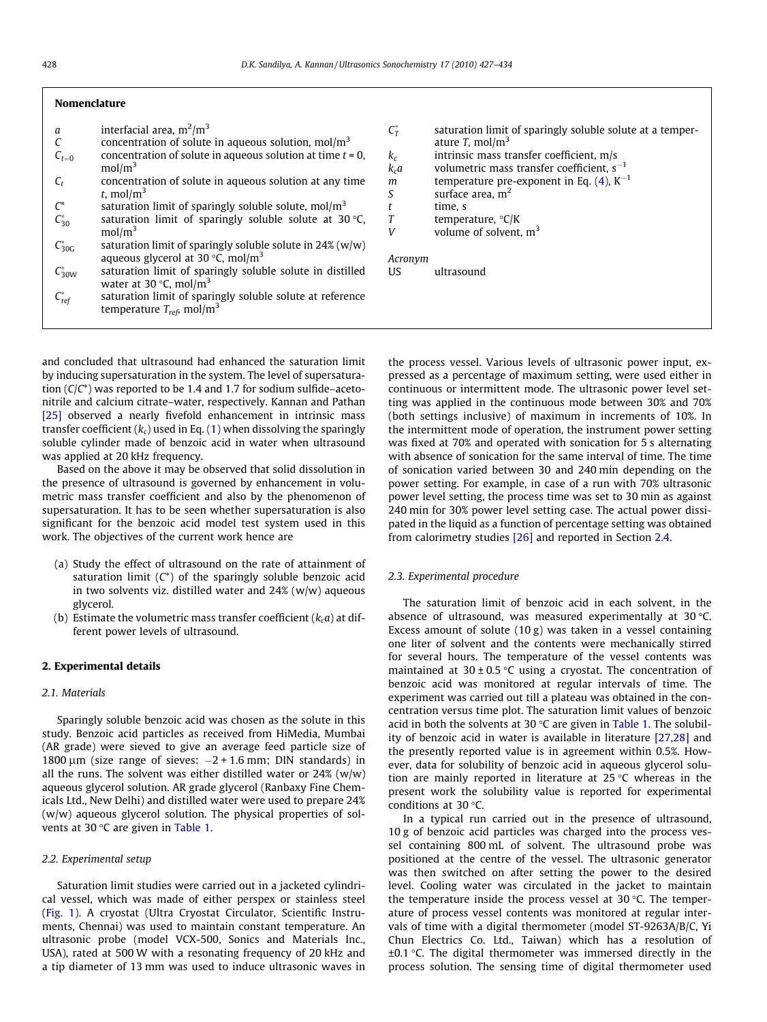# <span id="page-1-0"></span>Nomenclature

| a                  | interfacial area, $m^2/m^3$                                                                                         |
|--------------------|---------------------------------------------------------------------------------------------------------------------|
| C                  | concentration of solute in aqueous solution, $mol/m3$                                                               |
| $C_{t=0}$          | concentration of solute in aqueous solution at time $t = 0$ ,<br>mol/m <sup>3</sup>                                 |
| $C_{t}$            | concentration of solute in aqueous solution at any time<br>t, mol/m <sup>3</sup>                                    |
| $\mathcal{C}^*$    | saturation limit of sparingly soluble solute, $mol/m3$                                                              |
| $C_{30}^*$         | saturation limit of sparingly soluble solute at $30^{\circ}$ C,<br>mol/m <sup>3</sup>                               |
| $C_{30G}^*$        | saturation limit of sparingly soluble solute in 24% (w/w)<br>aqueous glycerol at 30 $\degree$ C, mol/m <sup>3</sup> |
| $C_{30W}^*$        | saturation limit of sparingly soluble solute in distilled<br>water at $30^{\circ}$ C, mol/m <sup>3</sup>            |
| $C_{\text{ref}}^*$ | saturation limit of sparingly soluble solute at reference<br>temperature $T_{ref}$ , mol/m <sup>3</sup>             |

 $C_T^*$ saturation limit of sparingly soluble solute at a temperature  $T$ , mol/m<sup>3</sup>  $k_c$ intrinsic mass transfer coefficient, m/s  $k_c a$  volumetric mass transfer coefficient,  $s^{-1}$ <br>m temperature pre-exponent in Eq. (4),  $K^{-1}$ temperature pre-exponent in Eq. [\(4\),](#page-5-0)  $K^{-1}$  $S \qquad$  surface area,  $m<sup>2</sup>$  $t$  time, s<br> $T$  temper  $T$  temperature,  ${}^{\circ}C/K$ V volume of solvent,  $m<sup>3</sup>$ Acronym US ultrasound

and concluded that ultrasound had enhanced the saturation limit by inducing supersaturation in the system. The level of supersaturation  $(C/C^*)$  was reported to be 1.4 and 1.7 for sodium sulfide–acetonitrile and calcium citrate–water, respectively. Kannan and Pathan [\[25\]](#page-7-0) observed a nearly fivefold enhancement in intrinsic mass transfer coefficient ( $k_c$ ) used in Eq. [\(1\)](#page-0-0) when dissolving the sparingly soluble cylinder made of benzoic acid in water when ultrasound was applied at 20 kHz frequency.

Based on the above it may be observed that solid dissolution in the presence of ultrasound is governed by enhancement in volumetric mass transfer coefficient and also by the phenomenon of supersaturation. It has to be seen whether supersaturation is also significant for the benzoic acid model test system used in this work. The objectives of the current work hence are

- (a) Study the effect of ultrasound on the rate of attainment of saturation limit  $(C^*)$  of the sparingly soluble benzoic acid in two solvents viz. distilled water and 24% (w/w) aqueous glycerol.
- (b) Estimate the volumetric mass transfer coefficient  $(k_c a)$  at different power levels of ultrasound.

# 2. Experimental details

#### 2.1. Materials

Sparingly soluble benzoic acid was chosen as the solute in this study. Benzoic acid particles as received from HiMedia, Mumbai (AR grade) were sieved to give an average feed particle size of 1800  $\mu$ m (size range of sieves:  $-2 + 1.6$  mm; DIN standards) in all the runs. The solvent was either distilled water or  $24%$  (w/w) aqueous glycerol solution. AR grade glycerol (Ranbaxy Fine Chemicals Ltd., New Delhi) and distilled water were used to prepare 24% (w/w) aqueous glycerol solution. The physical properties of solvents at 30  $\mathrm{C}$  are given in [Table 1](#page-2-0).

### 2.2. Experimental setup

Saturation limit studies were carried out in a jacketed cylindrical vessel, which was made of either perspex or stainless steel ([Fig. 1](#page-2-0)). A cryostat (Ultra Cryostat Circulator, Scientific Instruments, Chennai) was used to maintain constant temperature. An ultrasonic probe (model VCX-500, Sonics and Materials Inc., USA), rated at 500 W with a resonating frequency of 20 kHz and a tip diameter of 13 mm was used to induce ultrasonic waves in the process vessel. Various levels of ultrasonic power input, expressed as a percentage of maximum setting, were used either in continuous or intermittent mode. The ultrasonic power level setting was applied in the continuous mode between 30% and 70% (both settings inclusive) of maximum in increments of 10%. In the intermittent mode of operation, the instrument power setting was fixed at 70% and operated with sonication for 5 s alternating with absence of sonication for the same interval of time. The time of sonication varied between 30 and 240 min depending on the power setting. For example, in case of a run with 70% ultrasonic power level setting, the process time was set to 30 min as against 240 min for 30% power level setting case. The actual power dissipated in the liquid as a function of percentage setting was obtained from calorimetry studies [\[26\]](#page-7-0) and reported in Section [2.4](#page-2-0).

# 2.3. Experimental procedure

The saturation limit of benzoic acid in each solvent, in the absence of ultrasound, was measured experimentally at 30  $\degree$ C. Excess amount of solute (10 g) was taken in a vessel containing one liter of solvent and the contents were mechanically stirred for several hours. The temperature of the vessel contents was maintained at  $30 \pm 0.5$  °C using a cryostat. The concentration of benzoic acid was monitored at regular intervals of time. The experiment was carried out till a plateau was obtained in the concentration versus time plot. The saturation limit values of benzoic acid in both the solvents at 30  $\degree$ C are given in [Table 1.](#page-2-0) The solubility of benzoic acid in water is available in literature [\[27,28\]](#page-7-0) and the presently reported value is in agreement within 0.5%. However, data for solubility of benzoic acid in aqueous glycerol solution are mainly reported in literature at  $25^{\circ}$ C whereas in the present work the solubility value is reported for experimental conditions at 30 $\degree$ C.

In a typical run carried out in the presence of ultrasound, 10 g of benzoic acid particles was charged into the process vessel containing 800 mL of solvent. The ultrasound probe was positioned at the centre of the vessel. The ultrasonic generator was then switched on after setting the power to the desired level. Cooling water was circulated in the jacket to maintain the temperature inside the process vessel at 30  $\degree$ C. The temperature of process vessel contents was monitored at regular intervals of time with a digital thermometer (model ST-9263A/B/C, Yi Chun Electrics Co. Ltd., Taiwan) which has a resolution of  $\pm 0.1$  °C. The digital thermometer was immersed directly in the process solution. The sensing time of digital thermometer used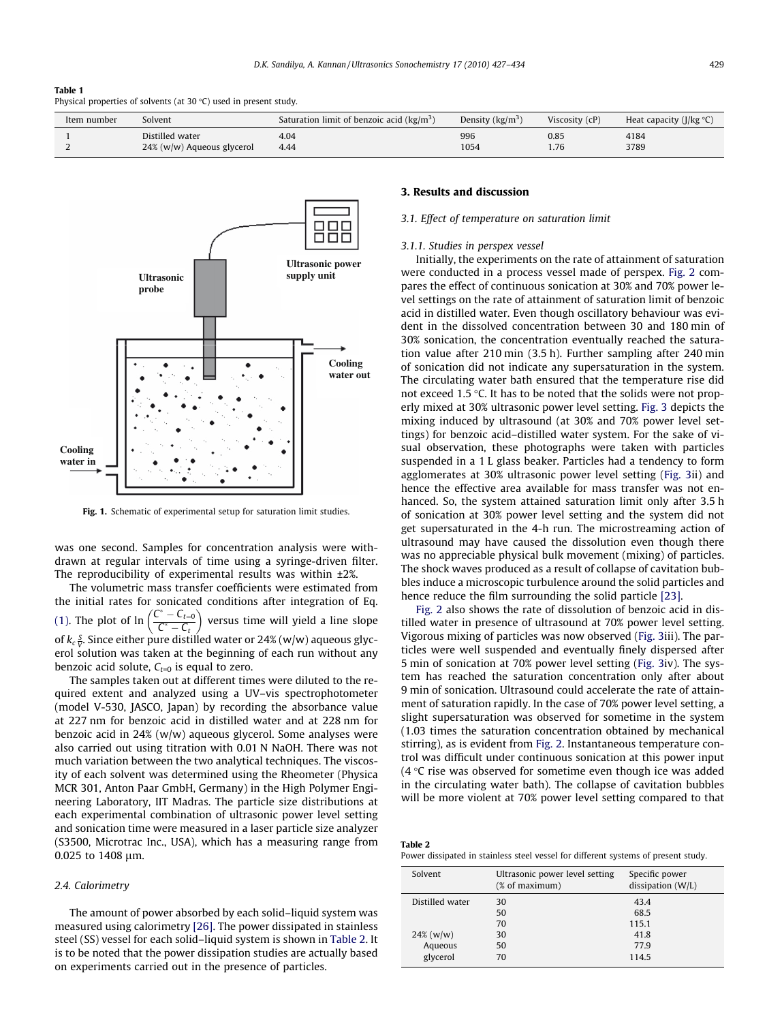#### <span id="page-2-0"></span>Table 1

Physical properties of solvents (at  $30 °C$ ) used in present study.

| Item number | Solvent                    | Saturation limit of benzoic acid $\frac{kg}{m^3}$ | Density $\frac{kg}{m^3}$ | Viscosity $(cP)$ | Heat capacity ( $J/kg °C$ ) |
|-------------|----------------------------|---------------------------------------------------|--------------------------|------------------|-----------------------------|
|             | Distilled water            | 4.04                                              | 996                      | 0.85             | 4184                        |
|             | 24% (w/w) Aqueous glycerol | 4.44                                              | 1054                     | 1.76             | 3789                        |



Fig. 1. Schematic of experimental setup for saturation limit studies.

was one second. Samples for concentration analysis were withdrawn at regular intervals of time using a syringe-driven filter. The reproducibility of experimental results was within ±2%.

The volumetric mass transfer coefficients were estimated from the initial rates for sonicated conditions after integration of Eq. [\(1\)](#page-0-0). The plot of  $\ln \left( \frac{C}{2} \right)$  $r^* - C_{t=0}$  $C^* - C_t$  versus time will yield a line slope of  $k_{c}\frac{S}{V}$ . Since either pure distilled water or 24% (w/w) aqueous glycerol solution was taken at the beginning of each run without any benzoic acid solute,  $C_{t=0}$  is equal to zero.

The samples taken out at different times were diluted to the required extent and analyzed using a UV–vis spectrophotometer (model V-530, JASCO, Japan) by recording the absorbance value at 227 nm for benzoic acid in distilled water and at 228 nm for benzoic acid in 24% (w/w) aqueous glycerol. Some analyses were also carried out using titration with 0.01 N NaOH. There was not much variation between the two analytical techniques. The viscosity of each solvent was determined using the Rheometer (Physica MCR 301, Anton Paar GmbH, Germany) in the High Polymer Engineering Laboratory, IIT Madras. The particle size distributions at each experimental combination of ultrasonic power level setting and sonication time were measured in a laser particle size analyzer (S3500, Microtrac Inc., USA), which has a measuring range from 0.025 to 1408 um.

### 2.4. Calorimetry

The amount of power absorbed by each solid–liquid system was measured using calorimetry [\[26\]](#page-7-0). The power dissipated in stainless steel (SS) vessel for each solid–liquid system is shown in Table 2. It is to be noted that the power dissipation studies are actually based on experiments carried out in the presence of particles.

# 3. Results and discussion

#### 3.1. Effect of temperature on saturation limit

#### 3.1.1. Studies in perspex vessel

Initially, the experiments on the rate of attainment of saturation were conducted in a process vessel made of perspex. [Fig. 2](#page-3-0) compares the effect of continuous sonication at 30% and 70% power level settings on the rate of attainment of saturation limit of benzoic acid in distilled water. Even though oscillatory behaviour was evident in the dissolved concentration between 30 and 180 min of 30% sonication, the concentration eventually reached the saturation value after 210 min (3.5 h). Further sampling after 240 min of sonication did not indicate any supersaturation in the system. The circulating water bath ensured that the temperature rise did not exceed  $1.5$  °C. It has to be noted that the solids were not properly mixed at 30% ultrasonic power level setting. [Fig. 3](#page-3-0) depicts the mixing induced by ultrasound (at 30% and 70% power level settings) for benzoic acid–distilled water system. For the sake of visual observation, these photographs were taken with particles suspended in a 1 L glass beaker. Particles had a tendency to form agglomerates at 30% ultrasonic power level setting [\(Fig. 3](#page-3-0)ii) and hence the effective area available for mass transfer was not enhanced. So, the system attained saturation limit only after 3.5 h of sonication at 30% power level setting and the system did not get supersaturated in the 4-h run. The microstreaming action of ultrasound may have caused the dissolution even though there was no appreciable physical bulk movement (mixing) of particles. The shock waves produced as a result of collapse of cavitation bubbles induce a microscopic turbulence around the solid particles and hence reduce the film surrounding the solid particle [\[23\].](#page-7-0)

[Fig. 2](#page-3-0) also shows the rate of dissolution of benzoic acid in distilled water in presence of ultrasound at 70% power level setting. Vigorous mixing of particles was now observed ([Fig. 3](#page-3-0)iii). The particles were well suspended and eventually finely dispersed after 5 min of sonication at 70% power level setting [\(Fig. 3](#page-3-0)iv). The system has reached the saturation concentration only after about 9 min of sonication. Ultrasound could accelerate the rate of attainment of saturation rapidly. In the case of 70% power level setting, a slight supersaturation was observed for sometime in the system (1.03 times the saturation concentration obtained by mechanical stirring), as is evident from [Fig. 2.](#page-3-0) Instantaneous temperature control was difficult under continuous sonication at this power input  $(4 \, \degree C$  rise was observed for sometime even though ice was added in the circulating water bath). The collapse of cavitation bubbles will be more violent at 70% power level setting compared to that

| Table 2                                                                            |  |  |  |
|------------------------------------------------------------------------------------|--|--|--|
| Power dissipated in stainless steel vessel for different systems of present study. |  |  |  |

| Solvent         | Ultrasonic power level setting<br>(% of maximum) | Specific power<br>dissipation (W/L) |
|-----------------|--------------------------------------------------|-------------------------------------|
| Distilled water | 30                                               | 43.4                                |
|                 | 50                                               | 68.5                                |
|                 | 70                                               | 115.1                               |
| $24\%$ (w/w)    | 30                                               | 41.8                                |
| Aqueous         | 50                                               | 77.9                                |
| glycerol        | 70                                               | 114.5                               |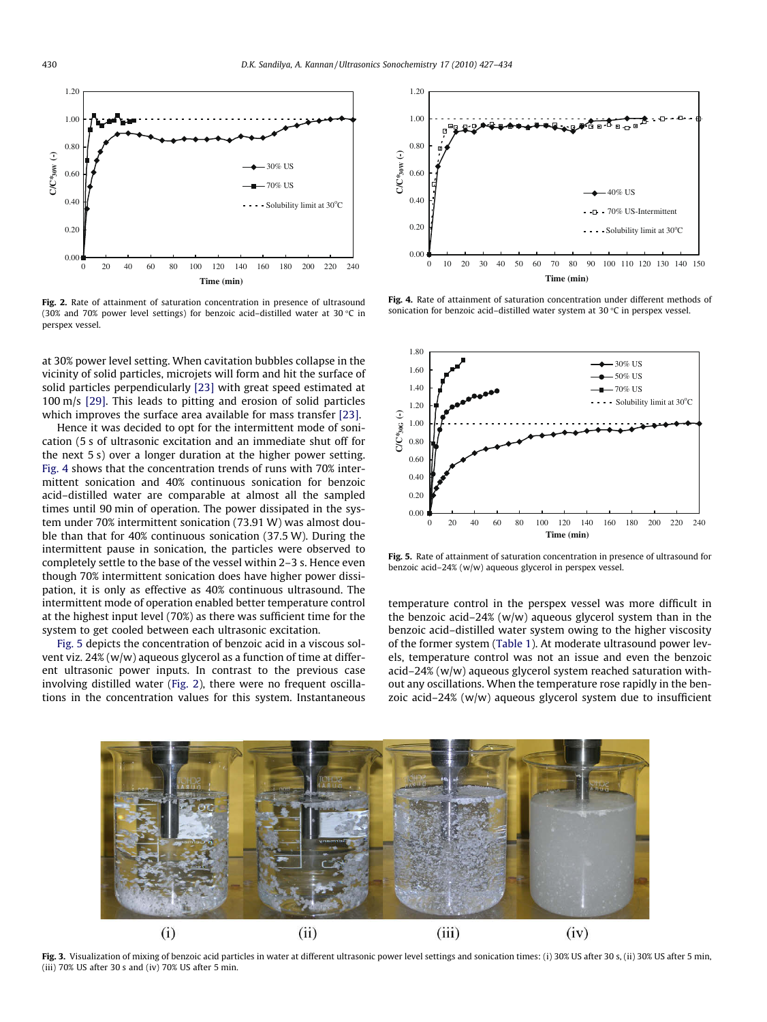<span id="page-3-0"></span>

Fig. 2. Rate of attainment of saturation concentration in presence of ultrasound (30% and 70% power level settings) for benzoic acid-distilled water at 30  $\degree$ C in perspex vessel.

at 30% power level setting. When cavitation bubbles collapse in the vicinity of solid particles, microjets will form and hit the surface of solid particles perpendicularly [\[23\]](#page-7-0) with great speed estimated at 100 m/s [\[29\]](#page-7-0). This leads to pitting and erosion of solid particles which improves the surface area available for mass transfer [\[23\].](#page-7-0)

Hence it was decided to opt for the intermittent mode of sonication (5 s of ultrasonic excitation and an immediate shut off for the next 5 s) over a longer duration at the higher power setting. Fig. 4 shows that the concentration trends of runs with 70% intermittent sonication and 40% continuous sonication for benzoic acid–distilled water are comparable at almost all the sampled times until 90 min of operation. The power dissipated in the system under 70% intermittent sonication (73.91 W) was almost double than that for 40% continuous sonication (37.5 W). During the intermittent pause in sonication, the particles were observed to completely settle to the base of the vessel within 2–3 s. Hence even though 70% intermittent sonication does have higher power dissipation, it is only as effective as 40% continuous ultrasound. The intermittent mode of operation enabled better temperature control at the highest input level (70%) as there was sufficient time for the system to get cooled between each ultrasonic excitation.

Fig. 5 depicts the concentration of benzoic acid in a viscous solvent viz. 24% (w/w) aqueous glycerol as a function of time at different ultrasonic power inputs. In contrast to the previous case involving distilled water (Fig. 2), there were no frequent oscillations in the concentration values for this system. Instantaneous



Fig. 4. Rate of attainment of saturation concentration under different methods of sonication for benzoic acid-distilled water system at 30 °C in perspex vessel.



Fig. 5. Rate of attainment of saturation concentration in presence of ultrasound for benzoic acid–24% (w/w) aqueous glycerol in perspex vessel.

temperature control in the perspex vessel was more difficult in the benzoic acid–24% ( $w/w$ ) aqueous glycerol system than in the benzoic acid–distilled water system owing to the higher viscosity of the former system ([Table 1\)](#page-2-0). At moderate ultrasound power levels, temperature control was not an issue and even the benzoic acid–24% (w/w) aqueous glycerol system reached saturation without any oscillations. When the temperature rose rapidly in the benzoic acid–24% (w/w) aqueous glycerol system due to insufficient



Fig. 3. Visualization of mixing of benzoic acid particles in water at different ultrasonic power level settings and sonication times: (i) 30% US after 30 s, (ii) 30% US after 5 min, (iii) 70% US after 30 s and (iv) 70% US after 5 min.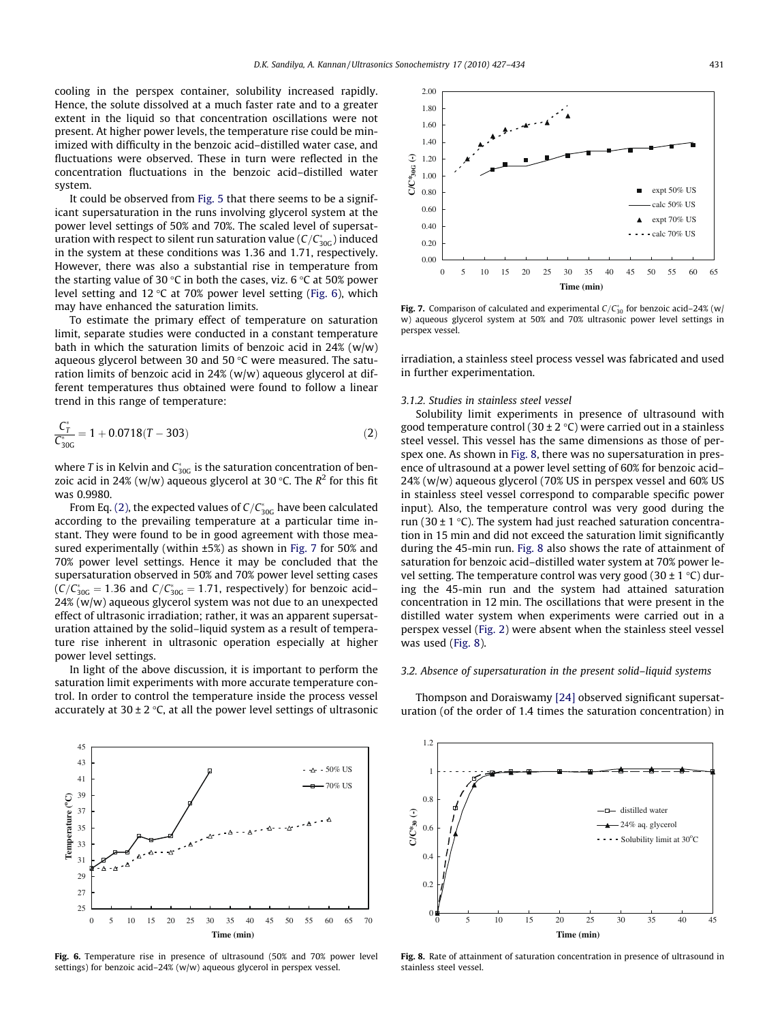<span id="page-4-0"></span>cooling in the perspex container, solubility increased rapidly. Hence, the solute dissolved at a much faster rate and to a greater extent in the liquid so that concentration oscillations were not present. At higher power levels, the temperature rise could be minimized with difficulty in the benzoic acid–distilled water case, and fluctuations were observed. These in turn were reflected in the concentration fluctuations in the benzoic acid–distilled water system.

It could be observed from [Fig. 5](#page-3-0) that there seems to be a significant supersaturation in the runs involving glycerol system at the power level settings of 50% and 70%. The scaled level of supersaturation with respect to silent run saturation value ( $C/C^*_{\rm 30G}$ ) induced in the system at these conditions was 1.36 and 1.71, respectively. However, there was also a substantial rise in temperature from the starting value of 30 °C in both the cases, viz. 6 °C at 50% power level setting and  $12 \text{ °C}$  at  $70\%$  power level setting (Fig. 6), which may have enhanced the saturation limits.

To estimate the primary effect of temperature on saturation limit, separate studies were conducted in a constant temperature bath in which the saturation limits of benzoic acid in  $24\%$  (w/w) aqueous glycerol between 30 and 50  $\degree$ C were measured. The saturation limits of benzoic acid in 24% (w/w) aqueous glycerol at different temperatures thus obtained were found to follow a linear trend in this range of temperature:

$$
\frac{C_T^*}{C_{30G}^*} = 1 + 0.0718(T - 303)
$$
\n(2)

where T is in Kelvin and  $C_{30G}^*$  is the saturation concentration of benzoic acid in 24% (w/w) aqueous glycerol at 30 °C. The  $R^2$  for this fit was 0.9980.

From Eq. (2), the expected values of  $C/C_{\rm 30G}^*$  have been calculated according to the prevailing temperature at a particular time instant. They were found to be in good agreement with those measured experimentally (within ±5%) as shown in Fig. 7 for 50% and 70% power level settings. Hence it may be concluded that the supersaturation observed in 50% and 70% power level setting cases  $(C/C_{30G}^* = 1.36$  and  $C/C_{30G}^* = 1.71$ , respectively) for benzoic acid– 24% (w/w) aqueous glycerol system was not due to an unexpected effect of ultrasonic irradiation; rather, it was an apparent supersaturation attained by the solid–liquid system as a result of temperature rise inherent in ultrasonic operation especially at higher power level settings.

In light of the above discussion, it is important to perform the saturation limit experiments with more accurate temperature control. In order to control the temperature inside the process vessel accurately at  $30 \pm 2$  °C, at all the power level settings of ultrasonic



Fig. 6. Temperature rise in presence of ultrasound (50% and 70% power level settings) for benzoic acid–24% (w/w) aqueous glycerol in perspex vessel.



**Fig. 7.** Comparison of calculated and experimental  $C/C_{30}^*$  for benzoic acid–24% (w/ w) aqueous glycerol system at 50% and 70% ultrasonic power level settings in perspex vessel.

irradiation, a stainless steel process vessel was fabricated and used in further experimentation.

#### 3.1.2. Studies in stainless steel vessel

Solubility limit experiments in presence of ultrasound with good temperature control (30  $\pm$  2 °C) were carried out in a stainless steel vessel. This vessel has the same dimensions as those of perspex one. As shown in Fig. 8, there was no supersaturation in presence of ultrasound at a power level setting of 60% for benzoic acid– 24% (w/w) aqueous glycerol (70% US in perspex vessel and 60% US in stainless steel vessel correspond to comparable specific power input). Also, the temperature control was very good during the run (30  $\pm$  1 °C). The system had just reached saturation concentration in 15 min and did not exceed the saturation limit significantly during the 45-min run. Fig. 8 also shows the rate of attainment of saturation for benzoic acid–distilled water system at 70% power level setting. The temperature control was very good  $(30 \pm 1 \degree C)$  during the 45-min run and the system had attained saturation concentration in 12 min. The oscillations that were present in the distilled water system when experiments were carried out in a perspex vessel ([Fig. 2](#page-3-0)) were absent when the stainless steel vessel was used (Fig. 8).

### 3.2. Absence of supersaturation in the present solid–liquid systems

Thompson and Doraiswamy [\[24\]](#page-7-0) observed significant supersaturation (of the order of 1.4 times the saturation concentration) in



Fig. 8. Rate of attainment of saturation concentration in presence of ultrasound in stainless steel vessel.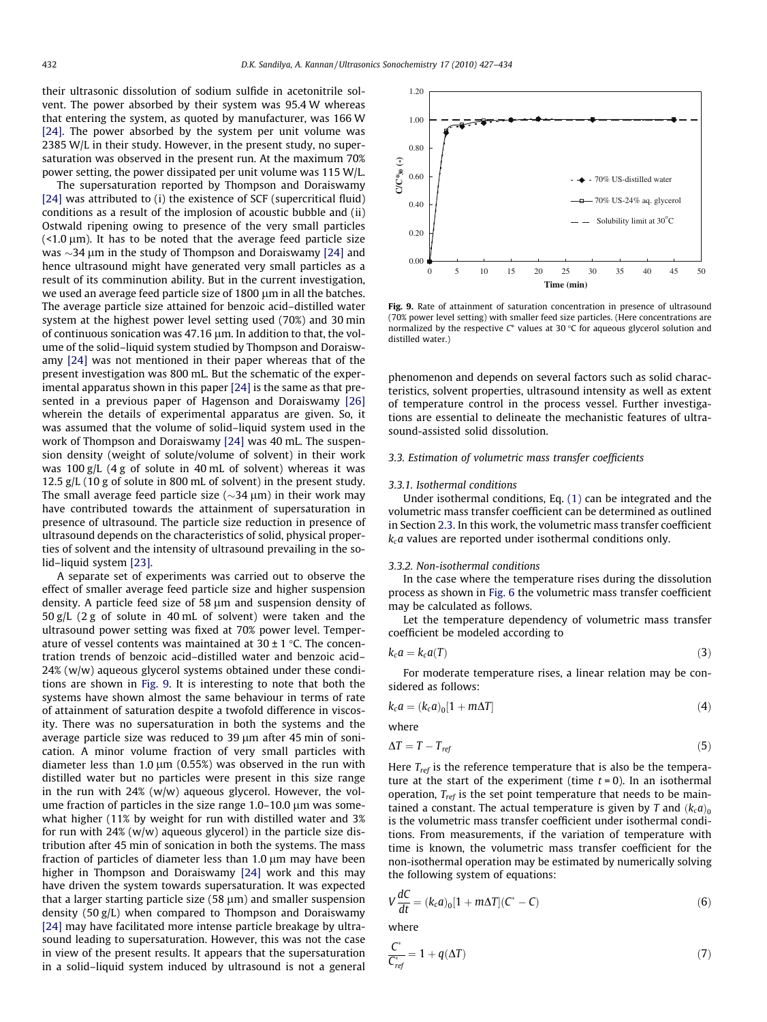<span id="page-5-0"></span>their ultrasonic dissolution of sodium sulfide in acetonitrile solvent. The power absorbed by their system was 95.4 W whereas that entering the system, as quoted by manufacturer, was 166 W [\[24\]](#page-7-0). The power absorbed by the system per unit volume was 2385 W/L in their study. However, in the present study, no supersaturation was observed in the present run. At the maximum 70% power setting, the power dissipated per unit volume was 115 W/L.

The supersaturation reported by Thompson and Doraiswamy [\[24\]](#page-7-0) was attributed to (i) the existence of SCF (supercritical fluid) conditions as a result of the implosion of acoustic bubble and (ii) Ostwald ripening owing to presence of the very small particles  $($  <1.0  $\mu$ m). It has to be noted that the average feed particle size was  $\sim$ 34  $\mu$ m in the study of Thompson and Doraiswamy [\[24\]](#page-7-0) and hence ultrasound might have generated very small particles as a result of its comminution ability. But in the current investigation, we used an average feed particle size of  $1800 \mu m$  in all the batches. The average particle size attained for benzoic acid–distilled water system at the highest power level setting used (70%) and 30 min of continuous sonication was  $47.16 \mu m$ . In addition to that, the volume of the solid–liquid system studied by Thompson and Doraiswamy [\[24\]](#page-7-0) was not mentioned in their paper whereas that of the present investigation was 800 mL. But the schematic of the experimental apparatus shown in this paper [\[24\]](#page-7-0) is the same as that presented in a previous paper of Hagenson and Doraiswamy [\[26\]](#page-7-0) wherein the details of experimental apparatus are given. So, it was assumed that the volume of solid–liquid system used in the work of Thompson and Doraiswamy [\[24\]](#page-7-0) was 40 mL. The suspension density (weight of solute/volume of solvent) in their work was 100 g/L (4 g of solute in 40 mL of solvent) whereas it was 12.5 g/L (10 g of solute in 800 mL of solvent) in the present study. The small average feed particle size ( $\sim$ 34  $\mu$ m) in their work may have contributed towards the attainment of supersaturation in presence of ultrasound. The particle size reduction in presence of ultrasound depends on the characteristics of solid, physical properties of solvent and the intensity of ultrasound prevailing in the solid–liquid system [\[23\].](#page-7-0)

A separate set of experiments was carried out to observe the effect of smaller average feed particle size and higher suspension density. A particle feed size of 58  $\mu$ m and suspension density of 50 g/L (2 g of solute in 40 mL of solvent) were taken and the ultrasound power setting was fixed at 70% power level. Temperature of vessel contents was maintained at  $30 \pm 1$  °C. The concentration trends of benzoic acid–distilled water and benzoic acid– 24% (w/w) aqueous glycerol systems obtained under these conditions are shown in Fig. 9. It is interesting to note that both the systems have shown almost the same behaviour in terms of rate of attainment of saturation despite a twofold difference in viscosity. There was no supersaturation in both the systems and the average particle size was reduced to 39  $\mu$ m after 45 min of sonication. A minor volume fraction of very small particles with diameter less than 1.0  $\mu$ m (0.55%) was observed in the run with distilled water but no particles were present in this size range in the run with 24% (w/w) aqueous glycerol. However, the volume fraction of particles in the size range  $1.0-10.0$   $\mu$ m was somewhat higher (11% by weight for run with distilled water and 3% for run with  $24%$  (w/w) aqueous glycerol) in the particle size distribution after 45 min of sonication in both the systems. The mass fraction of particles of diameter less than  $1.0 \mu m$  may have been higher in Thompson and Doraiswamy [\[24\]](#page-7-0) work and this may have driven the system towards supersaturation. It was expected that a larger starting particle size  $(58 \mu m)$  and smaller suspension density (50 g/L) when compared to Thompson and Doraiswamy [\[24\]](#page-7-0) may have facilitated more intense particle breakage by ultrasound leading to supersaturation. However, this was not the case in view of the present results. It appears that the supersaturation in a solid–liquid system induced by ultrasound is not a general



Fig. 9. Rate of attainment of saturation concentration in presence of ultrasound (70% power level setting) with smaller feed size particles. (Here concentrations are normalized by the respective  $C^*$  values at 30 °C for aqueous glycerol solution and distilled water.)

phenomenon and depends on several factors such as solid characteristics, solvent properties, ultrasound intensity as well as extent of temperature control in the process vessel. Further investigations are essential to delineate the mechanistic features of ultrasound-assisted solid dissolution.

#### 3.3. Estimation of volumetric mass transfer coefficients

#### 3.3.1. Isothermal conditions

Under isothermal conditions, Eq. [\(1\)](#page-0-0) can be integrated and the volumetric mass transfer coefficient can be determined as outlined in Section [2.3.](#page-1-0) In this work, the volumetric mass transfer coefficient  $k<sub>c</sub>a$  values are reported under isothermal conditions only.

#### 3.3.2. Non-isothermal conditions

In the case where the temperature rises during the dissolution process as shown in [Fig. 6](#page-4-0) the volumetric mass transfer coefficient may be calculated as follows.

Let the temperature dependency of volumetric mass transfer coefficient be modeled according to

$$
k_c a = k_c a(T) \tag{3}
$$

For moderate temperature rises, a linear relation may be considered as follows:

$$
k_c a = (k_c a)_0 [1 + m\Delta T]
$$
 (4)

where

$$
\Delta T = T - T_{ref} \tag{5}
$$

Here  $T_{ref}$  is the reference temperature that is also be the temperature at the start of the experiment (time  $t = 0$ ). In an isothermal operation,  $T_{ref}$  is the set point temperature that needs to be maintained a constant. The actual temperature is given by T and  $(k_c a)_0$ is the volumetric mass transfer coefficient under isothermal conditions. From measurements, if the variation of temperature with time is known, the volumetric mass transfer coefficient for the non-isothermal operation may be estimated by numerically solving the following system of equations:

$$
V\frac{dC}{dt} = (k_c a)_0 [1 + m\Delta T](C^* - C)
$$
\n(6)

where

$$
\frac{C^*}{C^*_{ref}} = 1 + q(\Delta T) \tag{7}
$$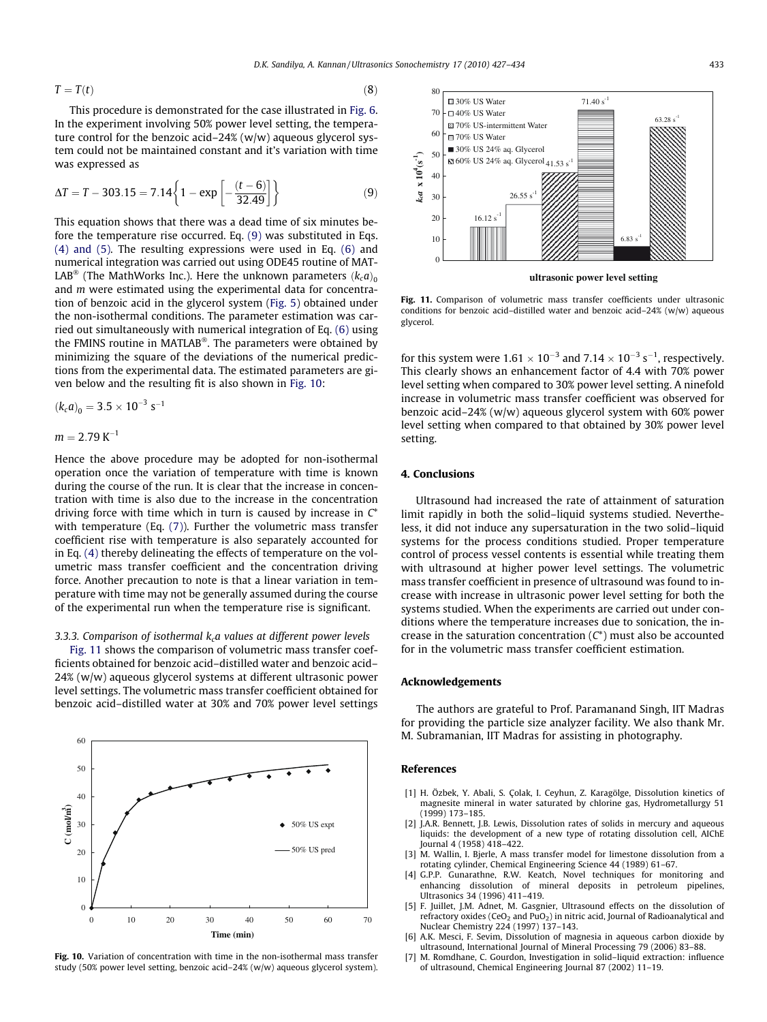<span id="page-6-0"></span>
$$
T = T(t) \tag{8}
$$

This procedure is demonstrated for the case illustrated in [Fig. 6.](#page-4-0) In the experiment involving 50% power level setting, the temperature control for the benzoic acid–24% (w/w) aqueous glycerol system could not be maintained constant and it's variation with time was expressed as

$$
\Delta T = T - 303.15 = 7.14 \left\{ 1 - \exp \left[ -\frac{(t - 6)}{32.49} \right] \right\}
$$
 (9)

This equation shows that there was a dead time of six minutes before the temperature rise occurred. Eq. (9) was substituted in Eqs. [\(4\) and \(5\).](#page-5-0) The resulting expressions were used in Eq. [\(6\)](#page-5-0) and numerical integration was carried out using ODE45 routine of MAT-LAB® (The MathWorks Inc.). Here the unknown parameters  $\left(k_c a\right)_0$ and m were estimated using the experimental data for concentration of benzoic acid in the glycerol system ([Fig. 5](#page-3-0)) obtained under the non-isothermal conditions. The parameter estimation was carried out simultaneously with numerical integration of Eq. [\(6\)](#page-5-0) using the FMINS routine in MATLAB®. The parameters were obtained by minimizing the square of the deviations of the numerical predictions from the experimental data. The estimated parameters are given below and the resulting fit is also shown in Fig. 10:

$$
\left(k_c a\right)_0 = 3.5 \times 10^{-3} \; s^{-1}
$$

$$
m = 2.79 \,\mathrm{K}^{-1}
$$

Hence the above procedure may be adopted for non-isothermal operation once the variation of temperature with time is known during the course of the run. It is clear that the increase in concentration with time is also due to the increase in the concentration driving force with time which in turn is caused by increase in  $C^*$ with temperature (Eq. [\(7\)](#page-5-0)). Further the volumetric mass transfer coefficient rise with temperature is also separately accounted for in Eq. [\(4\)](#page-5-0) thereby delineating the effects of temperature on the volumetric mass transfer coefficient and the concentration driving force. Another precaution to note is that a linear variation in temperature with time may not be generally assumed during the course of the experimental run when the temperature rise is significant.

# 3.3.3. Comparison of isothermal  $k<sub>c</sub>a$  values at different power levels

Fig. 11 shows the comparison of volumetric mass transfer coefficients obtained for benzoic acid–distilled water and benzoic acid– 24% (w/w) aqueous glycerol systems at different ultrasonic power level settings. The volumetric mass transfer coefficient obtained for benzoic acid–distilled water at 30% and 70% power level settings



Fig. 10. Variation of concentration with time in the non-isothermal mass transfer study (50% power level setting, benzoic acid–24% (w/w) aqueous glycerol system).



**ultrasonic power level setting**

Fig. 11. Comparison of volumetric mass transfer coefficients under ultrasonic conditions for benzoic acid–distilled water and benzoic acid–24% (w/w) aqueous glycerol.

for this system were 1.61  $\times$  10<sup>-3</sup> and 7.14  $\times$  10<sup>-3</sup> s<sup>-1</sup>, respectively. This clearly shows an enhancement factor of 4.4 with 70% power level setting when compared to 30% power level setting. A ninefold increase in volumetric mass transfer coefficient was observed for benzoic acid–24% (w/w) aqueous glycerol system with 60% power level setting when compared to that obtained by 30% power level setting.

# 4. Conclusions

Ultrasound had increased the rate of attainment of saturation limit rapidly in both the solid–liquid systems studied. Nevertheless, it did not induce any supersaturation in the two solid–liquid systems for the process conditions studied. Proper temperature control of process vessel contents is essential while treating them with ultrasound at higher power level settings. The volumetric mass transfer coefficient in presence of ultrasound was found to increase with increase in ultrasonic power level setting for both the systems studied. When the experiments are carried out under conditions where the temperature increases due to sonication, the increase in the saturation concentration  $(C^*)$  must also be accounted for in the volumetric mass transfer coefficient estimation.

# Acknowledgements

The authors are grateful to Prof. Paramanand Singh, IIT Madras for providing the particle size analyzer facility. We also thank Mr. M. Subramanian, IIT Madras for assisting in photography.

### References

- [1] H. Özbek, Y. Abali, S. Çolak, I. Ceyhun, Z. Karagölge, Dissolution kinetics of magnesite mineral in water saturated by chlorine gas, Hydrometallurgy 51 (1999) 173–185.
- [2] J.A.R. Bennett, J.B. Lewis, Dissolution rates of solids in mercury and aqueous liquids: the development of a new type of rotating dissolution cell, AIChE Journal 4 (1958) 418–422.
- [3] M. Wallin, I. Bjerle, A mass transfer model for limestone dissolution from a rotating cylinder, Chemical Engineering Science 44 (1989) 61–67.
- [4] G.P.P. Gunarathne, R.W. Keatch, Novel techniques for monitoring and enhancing dissolution of mineral deposits in petroleum pipelines, Ultrasonics 34 (1996) 411–419.
- [5] F. Juillet, J.M. Adnet, M. Gasgnier, Ultrasound effects on the dissolution of refractory oxides (CeO<sub>2</sub> and PuO<sub>2</sub>) in nitric acid, Journal of Radioanalytical and Nuclear Chemistry 224 (1997) 137–143.
- [6] A.K. Mesci, F. Sevim, Dissolution of magnesia in aqueous carbon dioxide by ultrasound, International Journal of Mineral Processing 79 (2006) 83–88.
- [7] M. Romdhane, C. Gourdon, Investigation in solid–liquid extraction: influence of ultrasound, Chemical Engineering Journal 87 (2002) 11–19.